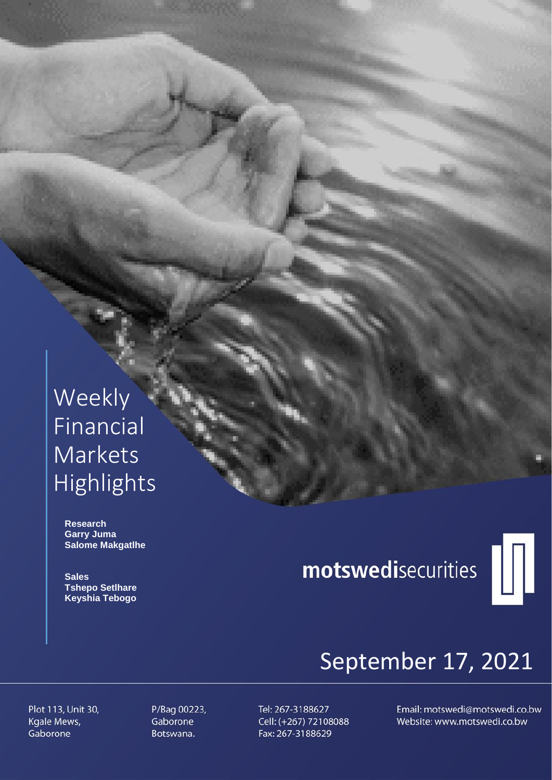# Weekly Financial Markets Highlights

 **Research Garry Juma Salome Makgatlhe**

 **Sales Tshepo Setlhare Keyshia Tebogo**

# motswedisecurities



# September 17, 2021

Plot 113, Unit 30, Kgale Mews, Gaborone

P/Bag 00223, Gaborone Botswana.

Tel: 267-3188627 Cell: (+267) 72108088 Fax: 267-3188629

Email: motswedi@motswedi.co.bw Website: www.motswedi.co.bw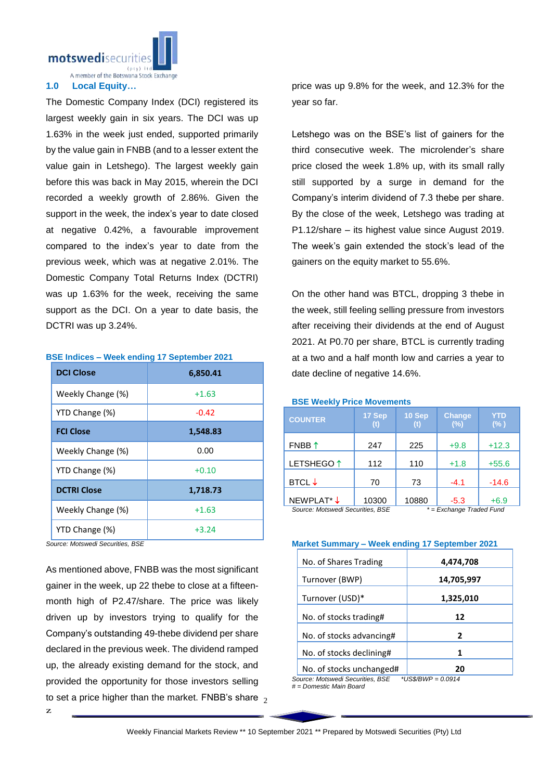motswedisecurit

A member of the Botswana Stock Exchange

### **1.0 Local Equity…**

The Domestic Company Index (DCI) registered its largest weekly gain in six years. The DCI was up 1.63% in the week just ended, supported primarily by the value gain in FNBB (and to a lesser extent the value gain in Letshego). The largest weekly gain before this was back in May 2015, wherein the DCI recorded a weekly growth of 2.86%. Given the support in the week, the index's year to date closed at negative 0.42%, a favourable improvement compared to the index's year to date from the previous week, which was at negative 2.01%. The Domestic Company Total Returns Index (DCTRI) was up 1.63% for the week, receiving the same support as the DCI. On a year to date basis, the DCTRI was up 3.24%.

#### **BSE Indices – Week ending 17 September 2021**

| <b>DCI Close</b>   | 6,850.41 |
|--------------------|----------|
| Weekly Change (%)  | $+1.63$  |
| YTD Change (%)     | $-0.42$  |
| <b>FCI Close</b>   | 1,548.83 |
| Weekly Change (%)  | 0.00     |
| YTD Change (%)     | $+0.10$  |
| <b>DCTRI Close</b> | 1,718.73 |
| Weekly Change (%)  | $+1.63$  |
| YTD Change (%)     | $+3.24$  |

*Source: Motswedi Securities, BSE*

to set a price higher than the market. FNBB's share  $\frac{1}{2}$ As mentioned above, FNBB was the most significant gainer in the week, up 22 thebe to close at a fifteenmonth high of P2.47/share. The price was likely driven up by investors trying to qualify for the Company's outstanding 49-thebe dividend per share declared in the previous week. The dividend ramped up, the already existing demand for the stock, and provided the opportunity for those investors selling

price was up 9.8% for the week, and 12.3% for the year so far.

Letshego was on the BSE's list of gainers for the third consecutive week. The microlender's share price closed the week 1.8% up, with its small rally still supported by a surge in demand for the Company's interim dividend of 7.3 thebe per share. By the close of the week, Letshego was trading at P1.12/share – its highest value since August 2019. The week's gain extended the stock's lead of the gainers on the equity market to 55.6%.

On the other hand was BTCL, dropping 3 thebe in the week, still feeling selling pressure from investors after receiving their dividends at the end of August 2021. At P0.70 per share, BTCL is currently trading at a two and a half month low and carries a year to date decline of negative 14.6%.

#### **BSE Weekly Price Movements**

| <b>COUNTER</b>                   | 17 Sep<br>( f ) | 10 Sep                      | <b>Change</b><br>(%) | YTD<br>$(\% )$ |
|----------------------------------|-----------------|-----------------------------|----------------------|----------------|
| FNBB $\uparrow$                  | 247             | 225                         | $+9.8$               | $+12.3$        |
| LETSHEGO <sup>1</sup>            | 112             | 110                         | $+1.8$               | $+55.6$        |
| <b>BTCL</b> $\downarrow$         | 70              | 73                          | $-4.1$               | $-14.6$        |
| NEWPLAT* J                       | 10300           | 10880                       | $-5.3$               | $+6.9$         |
| Source: Motswedi Securities, BSE |                 | $^*$ = Exchange Traded Fund |                      |                |

*Source: Motswedi Securities, BSE \* = Exchange Traded Fund*

# **Market Summary – Week ending 17 September 2021**

| No. of Shares Trading    | 4,474,708  |
|--------------------------|------------|
| Turnover (BWP)           | 14,705,997 |
| Turnover (USD)*          | 1,325,010  |
| No. of stocks trading#   | 12         |
| No. of stocks advancing# | 2          |
| No. of stocks declining# |            |
| No. of stocks unchanged# |            |

*Source: Motswedi Securities, BSE \*US\$/BWP = 0.0914*

*# = Domestic Main Board*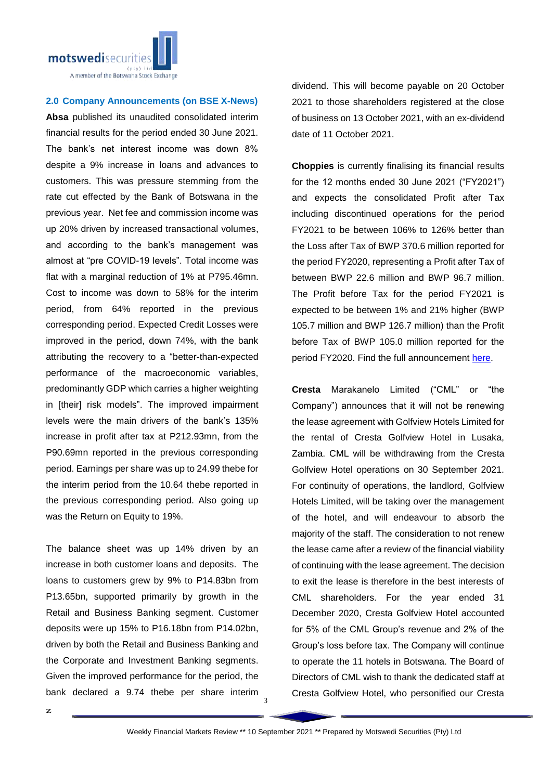

## **2.0 Company Announcements (on BSE X-News)**

**Absa** published its unaudited consolidated interim financial results for the period ended 30 June 2021. The bank's net interest income was down 8% despite a 9% increase in loans and advances to customers. This was pressure stemming from the rate cut effected by the Bank of Botswana in the previous year. Net fee and commission income was up 20% driven by increased transactional volumes, and according to the bank's management was almost at "pre COVID-19 levels". Total income was flat with a marginal reduction of 1% at P795.46mn. Cost to income was down to 58% for the interim period, from 64% reported in the previous corresponding period. Expected Credit Losses were improved in the period, down 74%, with the bank attributing the recovery to a "better-than-expected performance of the macroeconomic variables, predominantly GDP which carries a higher weighting in [their] risk models". The improved impairment levels were the main drivers of the bank's 135% increase in profit after tax at P212.93mn, from the P90.69mn reported in the previous corresponding period. Earnings per share was up to 24.99 thebe for the interim period from the 10.64 thebe reported in the previous corresponding period. Also going up was the Return on Equity to 19%.

The balance sheet was up 14% driven by an increase in both customer loans and deposits. The loans to customers grew by 9% to P14.83bn from P13.65bn, supported primarily by growth in the Retail and Business Banking segment. Customer deposits were up 15% to P16.18bn from P14.02bn, driven by both the Retail and Business Banking and the Corporate and Investment Banking segments. Given the improved performance for the period, the bank declared a 9.74 thebe per share interim

dividend. This will become payable on 20 October 2021 to those shareholders registered at the close of business on 13 October 2021, with an ex-dividend date of 11 October 2021.

**Choppies** is currently finalising its financial results for the 12 months ended 30 June 2021 ("FY2021") and expects the consolidated Profit after Tax including discontinued operations for the period FY2021 to be between 106% to 126% better than the Loss after Tax of BWP 370.6 million reported for the period FY2020, representing a Profit after Tax of between BWP 22.6 million and BWP 96.7 million. The Profit before Tax for the period FY2021 is expected to be between 1% and 21% higher (BWP 105.7 million and BWP 126.7 million) than the Profit before Tax of BWP 105.0 million reported for the period FY2020. Find the full announcement [here.](https://apis.bse.co.bw/storage/disclosures/09/2021/2332.pdf)

**Cresta** Marakanelo Limited ("CML" or "the Company") announces that it will not be renewing the lease agreement with Golfview Hotels Limited for the rental of Cresta Golfview Hotel in Lusaka, Zambia. CML will be withdrawing from the Cresta Golfview Hotel operations on 30 September 2021. For continuity of operations, the landlord, Golfview Hotels Limited, will be taking over the management of the hotel, and will endeavour to absorb the majority of the staff. The consideration to not renew the lease came after a review of the financial viability of continuing with the lease agreement. The decision to exit the lease is therefore in the best interests of CML shareholders. For the year ended 31 December 2020, Cresta Golfview Hotel accounted for 5% of the CML Group's revenue and 2% of the Group's loss before tax. The Company will continue to operate the 11 hotels in Botswana. The Board of Directors of CML wish to thank the dedicated staff at Cresta Golfview Hotel, who personified our Cresta

3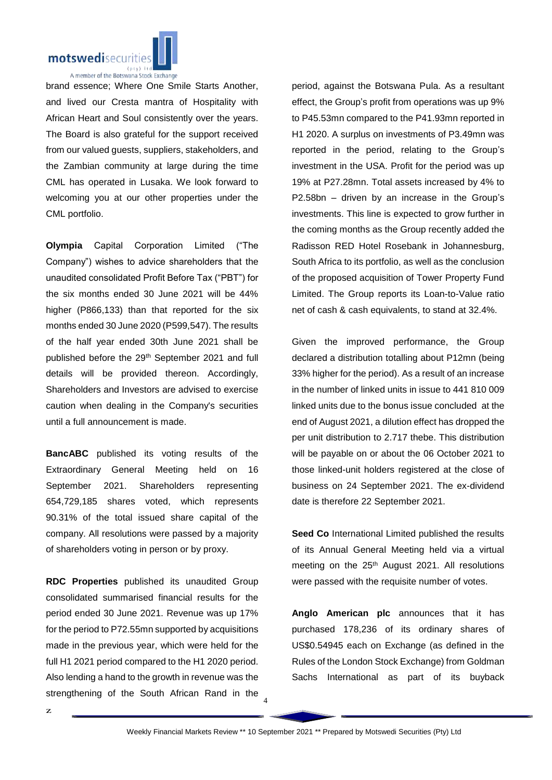

brand essence; Where One Smile Starts Another, and lived our Cresta mantra of Hospitality with African Heart and Soul consistently over the years. The Board is also grateful for the support received from our valued guests, suppliers, stakeholders, and the Zambian community at large during the time CML has operated in Lusaka. We look forward to welcoming you at our other properties under the CML portfolio.

**Olympia** Capital Corporation Limited ("The Company") wishes to advice shareholders that the unaudited consolidated Profit Before Tax ("PBT") for the six months ended 30 June 2021 will be 44% higher (P866,133) than that reported for the six months ended 30 June 2020 (P599,547). The results of the half year ended 30th June 2021 shall be published before the 29<sup>th</sup> September 2021 and full details will be provided thereon. Accordingly, Shareholders and Investors are advised to exercise caution when dealing in the Company's securities until a full announcement is made.

**BancABC** published its voting results of the Extraordinary General Meeting held on 16 September 2021. Shareholders representing 654,729,185 shares voted, which represents 90.31% of the total issued share capital of the company. All resolutions were passed by a majority of shareholders voting in person or by proxy.

**RDC Properties** published its unaudited Group consolidated summarised financial results for the period ended 30 June 2021. Revenue was up 17% for the period to P72.55mn supported by acquisitions made in the previous year, which were held for the full H1 2021 period compared to the H1 2020 period. Also lending a hand to the growth in revenue was the strengthening of the South African Rand in the period, against the Botswana Pula. As a resultant effect, the Group's profit from operations was up 9% to P45.53mn compared to the P41.93mn reported in H1 2020. A surplus on investments of P3.49mn was reported in the period, relating to the Group's investment in the USA. Profit for the period was up 19% at P27.28mn. Total assets increased by 4% to P2.58bn – driven by an increase in the Group's investments. This line is expected to grow further in the coming months as the Group recently added the Radisson RED Hotel Rosebank in Johannesburg, South Africa to its portfolio, as well as the conclusion of the proposed acquisition of Tower Property Fund Limited. The Group reports its Loan-to-Value ratio net of cash & cash equivalents, to stand at 32.4%.

Given the improved performance, the Group declared a distribution totalling about P12mn (being 33% higher for the period). As a result of an increase in the number of linked units in issue to 441 810 009 linked units due to the bonus issue concluded at the end of August 2021, a dilution effect has dropped the per unit distribution to 2.717 thebe. This distribution will be payable on or about the 06 October 2021 to those linked-unit holders registered at the close of business on 24 September 2021. The ex-dividend date is therefore 22 September 2021.

**Seed Co** International Limited published the results of its Annual General Meeting held via a virtual meeting on the 25<sup>th</sup> August 2021. All resolutions were passed with the requisite number of votes.

**Anglo American plc** announces that it has purchased 178,236 of its ordinary shares of US\$0.54945 each on Exchange (as defined in the Rules of the London Stock Exchange) from Goldman Sachs International as part of its buyback

4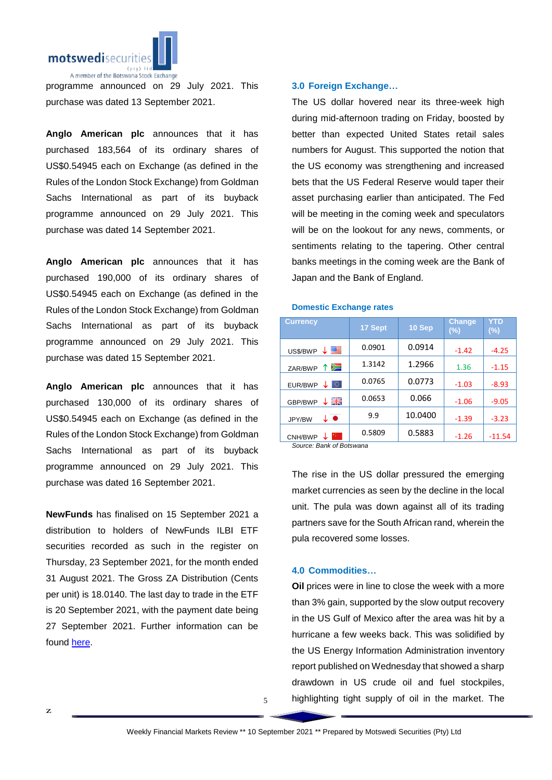

programme announced on 29 July 2021. This purchase was dated 13 September 2021.

**Anglo American plc** announces that it has purchased 183,564 of its ordinary shares of US\$0.54945 each on Exchange (as defined in the Rules of the London Stock Exchange) from Goldman Sachs International as part of its buyback programme announced on 29 July 2021. This purchase was dated 14 September 2021.

**Anglo American plc** announces that it has purchased 190,000 of its ordinary shares of US\$0.54945 each on Exchange (as defined in the Rules of the London Stock Exchange) from Goldman Sachs International as part of its buyback programme announced on 29 July 2021. This purchase was dated 15 September 2021.

**Anglo American plc** announces that it has purchased 130,000 of its ordinary shares of US\$0.54945 each on Exchange (as defined in the Rules of the London Stock Exchange) from Goldman Sachs International as part of its buyback programme announced on 29 July 2021. This purchase was dated 16 September 2021.

**NewFunds** has finalised on 15 September 2021 a distribution to holders of NewFunds ILBI ETF securities recorded as such in the register on Thursday, 23 September 2021, for the month ended 31 August 2021. The Gross ZA Distribution (Cents per unit) is 18.0140. The last day to trade in the ETF is 20 September 2021, with the payment date being 27 September 2021. Further information can be found [here.](https://apis.bse.co.bw/storage/disclosures/09/2021/2336.pdf)

# **3.0 Foreign Exchange…**

The US dollar hovered near its three-week high during mid-afternoon trading on Friday, boosted by better than expected United States retail sales numbers for August. This supported the notion that the US economy was strengthening and increased bets that the US Federal Reserve would taper their asset purchasing earlier than anticipated. The Fed will be meeting in the coming week and speculators will be on the lookout for any news, comments, or sentiments relating to the tapering. Other central banks meetings in the coming week are the Bank of Japan and the Bank of England.

| <b>Currency</b>                                      | 17 Sept | 10 Sep  | <b>Change</b><br>(%) | <b>YTD</b><br>$(\%)$ |
|------------------------------------------------------|---------|---------|----------------------|----------------------|
| 罂<br>US\$/BWP                                        | 0.0901  | 0.0914  | $-1.42$              | $-4.25$              |
| Ň<br>ZAR/BWP                                         | 1.3142  | 1.2966  | 1.36                 | $-1.15$              |
| 0<br>EUR/BWP                                         | 0.0765  | 0.0773  | $-1.03$              | $-8.93$              |
| 즭뚡<br>GBP/BWP                                        | 0.0653  | 0.066   | $-1.06$              | $-9.05$              |
| ↓●<br>JPY/BW                                         | 9.9     | 10.0400 | $-1.39$              | $-3.23$              |
| CNH/BWP<br>$\sim$ $\sim$<br>$\overline{\phantom{0}}$ | 0.5809  | 0.5883  | $-1.26$              | $-11.54$             |

## **Domestic Exchange rates**

*Source: Bank of Botswana*

The rise in the US dollar pressured the emerging market currencies as seen by the decline in the local unit. The pula was down against all of its trading partners save for the South African rand, wherein the pula recovered some losses.

### **4.0 Commodities…**

**Oil** prices were in line to close the week with a more than 3% gain, supported by the slow output recovery in the US Gulf of Mexico after the area was hit by a hurricane a few weeks back. This was solidified by the US Energy Information Administration inventory report published on Wednesday that showed a sharp drawdown in US crude oil and fuel stockpiles, highlighting tight supply of oil in the market. The